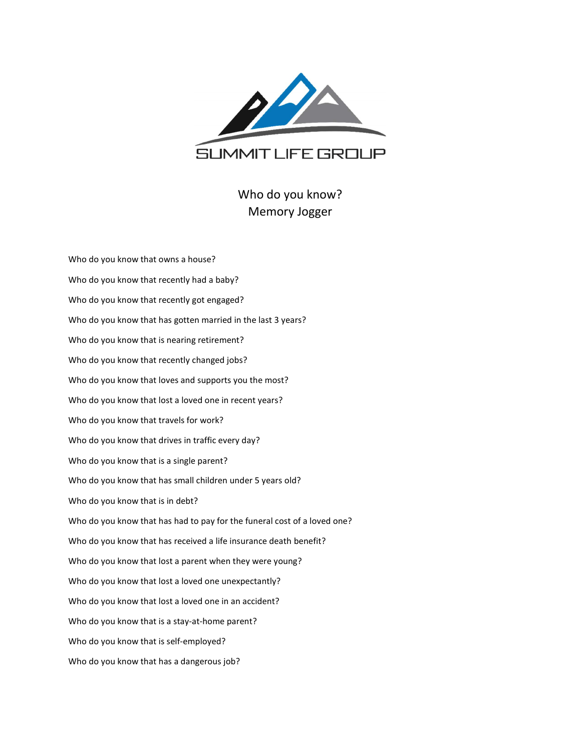

## Who do you know? Memory Jogger

| Who do you know that owns a house?                                       |
|--------------------------------------------------------------------------|
| Who do you know that recently had a baby?                                |
| Who do you know that recently got engaged?                               |
| Who do you know that has gotten married in the last 3 years?             |
| Who do you know that is nearing retirement?                              |
| Who do you know that recently changed jobs?                              |
| Who do you know that loves and supports you the most?                    |
| Who do you know that lost a loved one in recent years?                   |
| Who do you know that travels for work?                                   |
| Who do you know that drives in traffic every day?                        |
| Who do you know that is a single parent?                                 |
| Who do you know that has small children under 5 years old?               |
| Who do you know that is in debt?                                         |
| Who do you know that has had to pay for the funeral cost of a loved one? |
| Who do you know that has received a life insurance death benefit?        |
| Who do you know that lost a parent when they were young?                 |
| Who do you know that lost a loved one unexpectantly?                     |
| Who do you know that lost a loved one in an accident?                    |
| Who do you know that is a stay-at-home parent?                           |
| Who do you know that is self-employed?                                   |
| Who do you know that has a dangerous job?                                |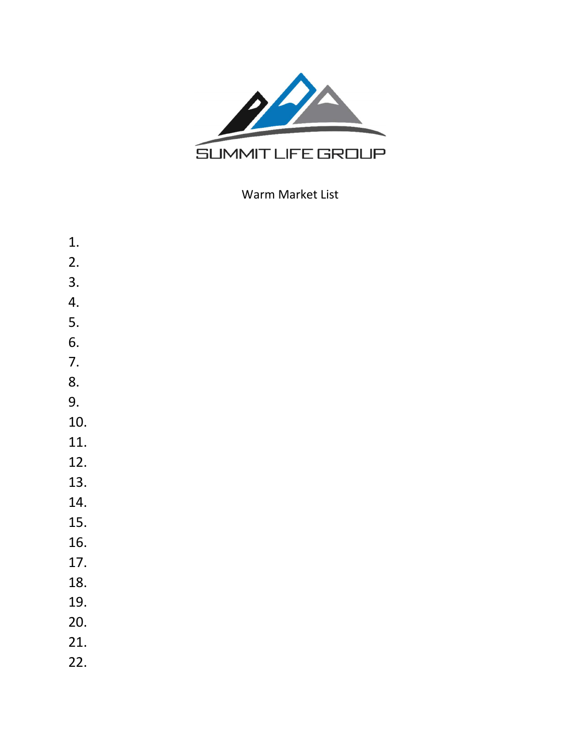

## Warm Market List

1. 2. 3. 4. 5. 6. 7. 8. 9. 10. 11. 12. 13. 14. 15. 16. 17. 18. 19. 20. 21. 22.